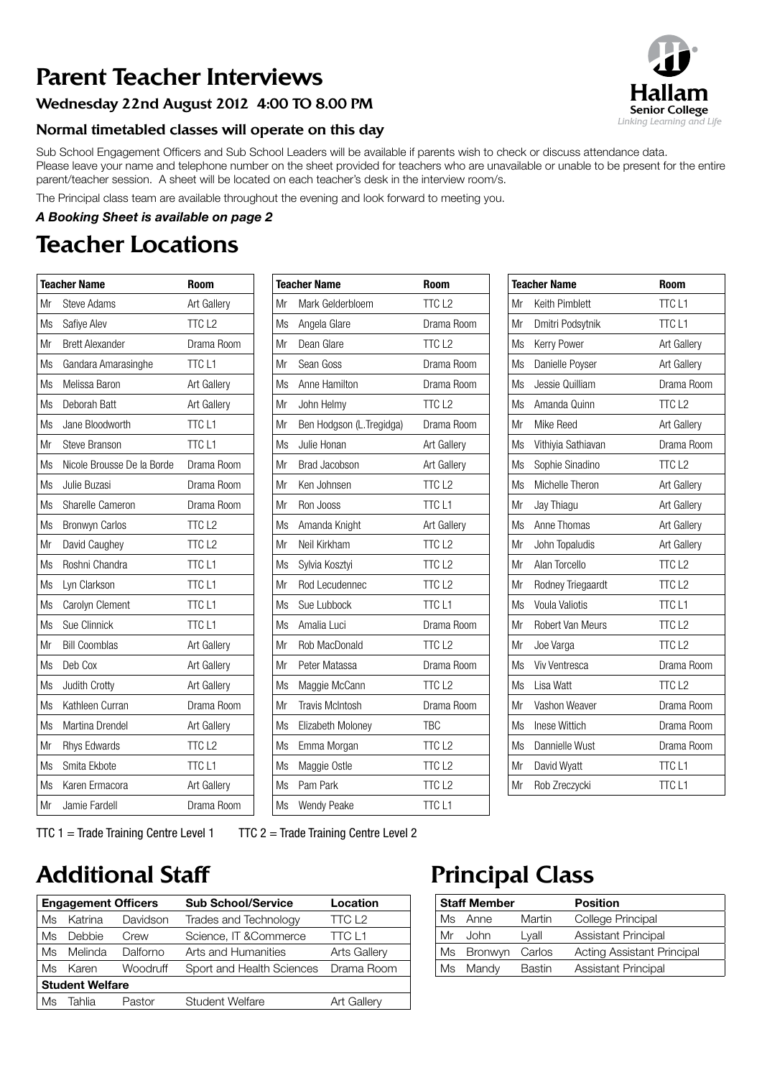# Parent Teacher Interviews

## Wednesday 22nd August 2012 4:00 TO 8.00 PM

## Normal timetabled classes will operate on this day

Sub School Engagement Officers and Sub School Leaders will be available if parents wish to check or discuss attendance data. Please leave your name and telephone number on the sheet provided for teachers who are unavailable or unable to be present for the entire parent/teacher session. A sheet will be located on each teacher's desk in the interview room/s.

The Principal class team are available throughout the evening and look forward to meeting you.

#### *A Booking Sheet is available on page 2*

# Teacher Locations

| <b>Teacher Name</b> |                            | <b>Room</b>        |
|---------------------|----------------------------|--------------------|
| Mr                  | Steve Adams                | <b>Art Gallery</b> |
| Ms                  | Safiye Alev                | TTC <sub>L2</sub>  |
| Mr                  | <b>Brett Alexander</b>     | Drama Room         |
| Ms                  | Gandara Amarasinghe        | TTC <sub>L1</sub>  |
| Ms                  | Melissa Baron              | <b>Art Gallery</b> |
| Ms                  | Deborah Batt               | Art Gallery        |
| Ms                  | Jane Bloodworth            | TTC <sub>L1</sub>  |
| Mr                  | <b>Steve Branson</b>       | TTC <sub>L1</sub>  |
| Ms                  | Nicole Brousse De la Borde | Drama Room         |
| Ms                  | Julie Buzasi               | Drama Room         |
| Ms                  | Sharelle Cameron           | Drama Room         |
| Ms                  | <b>Bronwyn Carlos</b>      | TTC <sub>L2</sub>  |
| Mr                  | David Caughey              | TTC <sub>L2</sub>  |
| Ms                  | Roshni Chandra             | TTC <sub>L1</sub>  |
| Ms                  | Lyn Clarkson               | TTC <sub>L1</sub>  |
| Ms                  | Carolyn Clement            | TTC <sub>L1</sub>  |
| Ms                  | Sue Clinnick               | TTC <sub>L1</sub>  |
| Mr                  | <b>Bill Coomblas</b>       | Art Gallery        |
| Ms                  | Deb Cox                    | Art Gallery        |
| Ms                  | Judith Crotty              | Art Gallery        |
| Ms                  | Kathleen Curran            | Drama Room         |
| Ms                  | Martina Drendel            | Art Gallery        |
| Mr                  | <b>Rhys Edwards</b>        | TTC <sub>L2</sub>  |
| Ms                  | Smita Ekbote               | <b>TTCL1</b>       |
| Ms                  | Karen Ermacora             | Art Gallery        |
| Mr                  | Jamie Fardell              | Drama Room         |

|    | <b>Teacher Name</b>       | <b>Room</b>        |
|----|---------------------------|--------------------|
| Mr | Mark Gelderbloem          | TTC <sub>L2</sub>  |
| Ms | Angela Glare              | Drama Room         |
| Mr | Dean Glare                | TTC <sub>L2</sub>  |
| Mr | Sean Goss                 | Drama Room         |
| Ms | Anne Hamilton             | Drama Room         |
| Mr | John Helmy                | TTC <sub>L2</sub>  |
| Mr | Ben Hodgson (L. Tregidga) | Drama Room         |
| Ms | Julie Honan               | Art Gallery        |
| Mr | <b>Brad Jacobson</b>      | Art Gallery        |
| Mr | Ken Johnsen               | TTC <sub>L2</sub>  |
| Mr | Ron Jooss                 | TTC <sub>L1</sub>  |
| Ms | Amanda Knight             | <b>Art Gallery</b> |
| Mr | Neil Kirkham              | TTC <sub>L2</sub>  |
| Ms | Sylvia Kosztyi            | TTC <sub>L2</sub>  |
| Mr | Rod Lecudennec            | TTC <sub>L2</sub>  |
| Ms | Sue Lubbock               | TTC <sub>L1</sub>  |
| Ms | Amalia Luci               | Drama Room         |
| Mr | Rob MacDonald             | TTC <sub>L2</sub>  |
| Mr | Peter Matassa             | Drama Room         |
| Ms | Maggie McCann             | TTC <sub>L2</sub>  |
| Mr | <b>Travis McIntosh</b>    | Drama Room         |
| Ms | Elizabeth Moloney         | <b>TBC</b>         |
| Ms | Emma Morgan               | TTC <sub>L2</sub>  |
| Ms | Maggie Ostle              | TTC <sub>L2</sub>  |
| Ms | Pam Park                  | TTC <sub>L2</sub>  |
| Ms | <b>Wendy Peake</b>        | <b>TTCL1</b>       |

|    | <b>Teacher Name</b>  | Room               |
|----|----------------------|--------------------|
| Mr | Keith Pimblett       | TTC <sub>L1</sub>  |
| Mr | Dmitri Podsytnik     | TTC <sub>L1</sub>  |
| Ms | Kerry Power          | Art Gallery        |
| Ms | Danielle Poyser      | <b>Art Gallery</b> |
| Ms | Jessie Quilliam      | Drama Room         |
| Ms | Amanda Quinn         | TTC <sub>L2</sub>  |
| Mr | Mike Reed            | Art Gallery        |
| Ms | Vithiyia Sathiavan   | Drama Room         |
| Ms | Sophie Sinadino      | TTC <sub>L2</sub>  |
| Ms | Michelle Theron      | Art Gallery        |
| Mr | Jay Thiagu           | Art Gallery        |
| Ms | Anne Thomas          | <b>Art Gallery</b> |
| Mr | John Topaludis       | Art Gallery        |
| Mr | Alan Torcello        | TTC <sub>L2</sub>  |
| Mr | Rodney Triegaardt    | TTC <sub>L2</sub>  |
| Ms | Voula Valiotis       | TTC <sub>L1</sub>  |
| Mr | Robert Van Meurs     | TTC <sub>L2</sub>  |
| Mr | Joe Varga            | TTC <sub>L2</sub>  |
| Ms | <b>Viv Ventresca</b> | Drama Room         |
| Ms | Lisa Watt            | TTC <sub>L2</sub>  |
| Mr | Vashon Weaver        | Drama Room         |
| Ms | Inese Wittich        | Drama Room         |
| Ms | Dannielle Wust       | Drama Room         |
| Mr | David Wyatt          | <b>TTCL1</b>       |
| Mr | Rob Zreczycki        | TTC <sub>L1</sub>  |

TTC  $1 =$  Trade Training Centre Level  $1 =$  TTC  $2 =$  Trade Training Centre Level 2

## Additional Staff **Principal Class**

|                        | <b>Engagement Officers</b> |                 | <b>Sub School/Service</b> | Location            |
|------------------------|----------------------------|-----------------|---------------------------|---------------------|
| Ms                     | Katrina                    | Davidson        | Trades and Technology     | TCL2                |
| Ms                     | Debbie                     | Crew            | Science, IT & Commerce    | <b>TTC L1</b>       |
| Ms                     | Melinda                    | Dalforno        | Arts and Humanities       | <b>Arts Gallery</b> |
| Ms                     | Karen                      | <b>Woodruff</b> | Sport and Health Sciences | Drama Room          |
| <b>Student Welfare</b> |                            |                 |                           |                     |
| Ms                     | Tahlia                     | Pastor          | <b>Student Welfare</b>    | <b>Art Gallery</b>  |

|    | <b>Staff Member</b> |        | <b>Position</b>                   |
|----|---------------------|--------|-----------------------------------|
| Ms | Anne                | Martin | College Principal                 |
| Mr | John                | Lyall  | Assistant Principal               |
|    | Ms Bronwyn          | Carlos | <b>Acting Assistant Principal</b> |
| Ms | Mandy               | Bastin | <b>Assistant Principal</b>        |